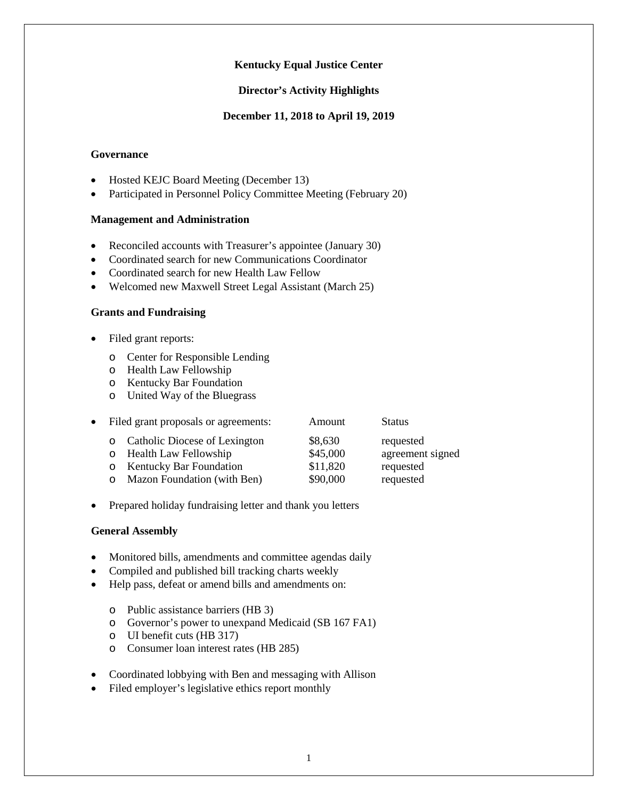# **Kentucky Equal Justice Center**

# **Director's Activity Highlights**

### **December 11, 2018 to April 19, 2019**

### **Governance**

- Hosted KEJC Board Meeting (December 13)
- Participated in Personnel Policy Committee Meeting (February 20)

# **Management and Administration**

- Reconciled accounts with Treasurer's appointee (January 30)
- Coordinated search for new Communications Coordinator
- Coordinated search for new Health Law Fellow
- Welcomed new Maxwell Street Legal Assistant (March 25)

### **Grants and Fundraising**

- Filed grant reports:
	- o Center for Responsible Lending
	- o Health Law Fellowship
	- o Kentucky Bar Foundation
	- o United Way of the Bluegrass

| $\bullet$ | Filed grant proposals or agreements: |                                 | Amount   | <b>Status</b>    |
|-----------|--------------------------------------|---------------------------------|----------|------------------|
|           |                                      | o Catholic Diocese of Lexington | \$8,630  | requested        |
|           | $\circ$                              | <b>Health Law Fellowship</b>    | \$45,000 | agreement signed |
|           | $\circ$                              | <b>Kentucky Bar Foundation</b>  | \$11,820 | requested        |
|           | O                                    | Mazon Foundation (with Ben)     | \$90,000 | requested        |

• Prepared holiday fundraising letter and thank you letters

#### **General Assembly**

- Monitored bills, amendments and committee agendas daily
- Compiled and published bill tracking charts weekly
- Help pass, defeat or amend bills and amendments on:
	- o Public assistance barriers (HB 3)
	- o Governor's power to unexpand Medicaid (SB 167 FA1)
	- o UI benefit cuts (HB 317)
	- o Consumer loan interest rates (HB 285)
- Coordinated lobbying with Ben and messaging with Allison
- Filed employer's legislative ethics report monthly